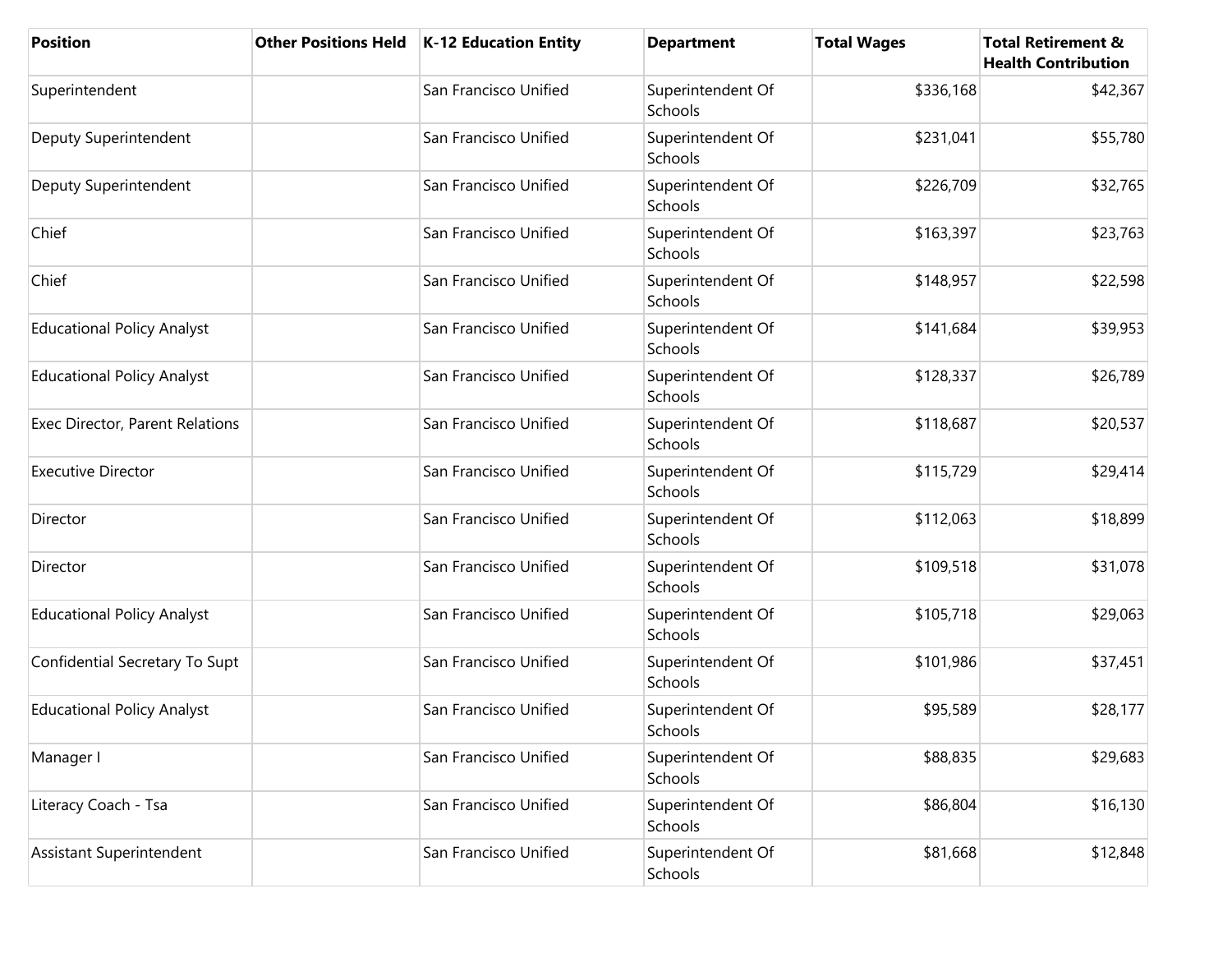| <b>Position</b>                   | <b>Other Positions Held</b> | <b>K-12 Education Entity</b> | <b>Department</b>            | <b>Total Wages</b> | <b>Total Retirement &amp;</b><br><b>Health Contribution</b> |
|-----------------------------------|-----------------------------|------------------------------|------------------------------|--------------------|-------------------------------------------------------------|
| Superintendent                    |                             | San Francisco Unified        | Superintendent Of<br>Schools | \$336,168          | \$42,367                                                    |
| Deputy Superintendent             |                             | San Francisco Unified        | Superintendent Of<br>Schools | \$231,041          | \$55,780                                                    |
| Deputy Superintendent             |                             | San Francisco Unified        | Superintendent Of<br>Schools | \$226,709          | \$32,765                                                    |
| Chief                             |                             | San Francisco Unified        | Superintendent Of<br>Schools | \$163,397          | \$23,763                                                    |
| Chief                             |                             | San Francisco Unified        | Superintendent Of<br>Schools | \$148,957          | \$22,598                                                    |
| <b>Educational Policy Analyst</b> |                             | San Francisco Unified        | Superintendent Of<br>Schools | \$141,684          | \$39,953                                                    |
| <b>Educational Policy Analyst</b> |                             | San Francisco Unified        | Superintendent Of<br>Schools | \$128,337          | \$26,789                                                    |
| Exec Director, Parent Relations   |                             | San Francisco Unified        | Superintendent Of<br>Schools | \$118,687          | \$20,537                                                    |
| <b>Executive Director</b>         |                             | San Francisco Unified        | Superintendent Of<br>Schools | \$115,729          | \$29,414                                                    |
| Director                          |                             | San Francisco Unified        | Superintendent Of<br>Schools | \$112,063          | \$18,899                                                    |
| Director                          |                             | San Francisco Unified        | Superintendent Of<br>Schools | \$109,518          | \$31,078                                                    |
| <b>Educational Policy Analyst</b> |                             | San Francisco Unified        | Superintendent Of<br>Schools | \$105,718          | \$29,063                                                    |
| Confidential Secretary To Supt    |                             | San Francisco Unified        | Superintendent Of<br>Schools | \$101,986          | \$37,451                                                    |
| <b>Educational Policy Analyst</b> |                             | San Francisco Unified        | Superintendent Of<br>Schools | \$95,589           | \$28,177                                                    |
| Manager I                         |                             | San Francisco Unified        | Superintendent Of<br>Schools | \$88,835           | \$29,683                                                    |
| Literacy Coach - Tsa              |                             | San Francisco Unified        | Superintendent Of<br>Schools | \$86,804           | \$16,130                                                    |
| Assistant Superintendent          |                             | San Francisco Unified        | Superintendent Of<br>Schools | \$81,668           | \$12,848                                                    |